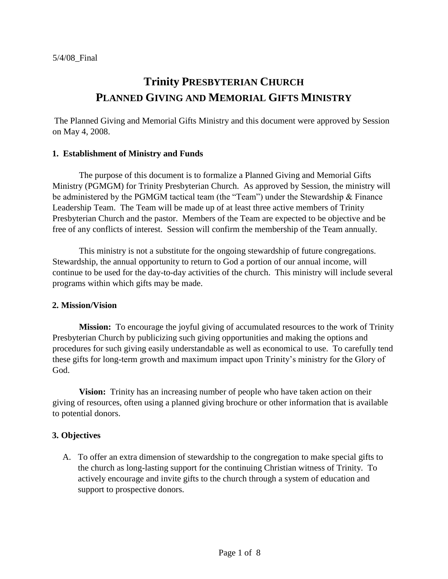# **Trinity PRESBYTERIAN CHURCH PLANNED GIVING AND MEMORIAL GIFTS MINISTRY**

The Planned Giving and Memorial Gifts Ministry and this document were approved by Session on May 4, 2008.

## **1. Establishment of Ministry and Funds**

The purpose of this document is to formalize a Planned Giving and Memorial Gifts Ministry (PGMGM) for Trinity Presbyterian Church. As approved by Session, the ministry will be administered by the PGMGM tactical team (the "Team") under the Stewardship & Finance Leadership Team. The Team will be made up of at least three active members of Trinity Presbyterian Church and the pastor. Members of the Team are expected to be objective and be free of any conflicts of interest. Session will confirm the membership of the Team annually.

This ministry is not a substitute for the ongoing stewardship of future congregations. Stewardship, the annual opportunity to return to God a portion of our annual income, will continue to be used for the day-to-day activities of the church. This ministry will include several programs within which gifts may be made.

## **2. Mission/Vision**

**Mission:** To encourage the joyful giving of accumulated resources to the work of Trinity Presbyterian Church by publicizing such giving opportunities and making the options and procedures for such giving easily understandable as well as economical to use. To carefully tend these gifts for long-term growth and maximum impact upon Trinity's ministry for the Glory of God.

**Vision:** Trinity has an increasing number of people who have taken action on their giving of resources, often using a planned giving brochure or other information that is available to potential donors.

# **3. Objectives**

A. To offer an extra dimension of stewardship to the congregation to make special gifts to the church as long-lasting support for the continuing Christian witness of Trinity. To actively encourage and invite gifts to the church through a system of education and support to prospective donors.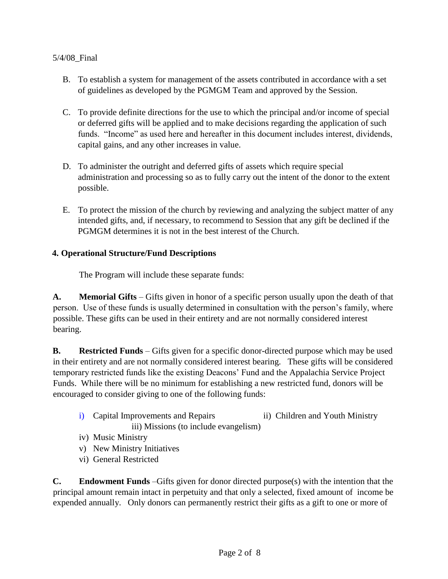- B. To establish a system for management of the assets contributed in accordance with a set of guidelines as developed by the PGMGM Team and approved by the Session.
- C. To provide definite directions for the use to which the principal and/or income of special or deferred gifts will be applied and to make decisions regarding the application of such funds. "Income" as used here and hereafter in this document includes interest, dividends, capital gains, and any other increases in value.
- D. To administer the outright and deferred gifts of assets which require special administration and processing so as to fully carry out the intent of the donor to the extent possible.
- E. To protect the mission of the church by reviewing and analyzing the subject matter of any intended gifts, and, if necessary, to recommend to Session that any gift be declined if the PGMGM determines it is not in the best interest of the Church.

# **4. Operational Structure/Fund Descriptions**

The Program will include these separate funds:

**A. Memorial Gifts** – Gifts given in honor of a specific person usually upon the death of that person. Use of these funds is usually determined in consultation with the person's family, where possible. These gifts can be used in their entirety and are not normally considered interest bearing.

**B. Restricted Funds** – Gifts given for a specific donor-directed purpose which may be used in their entirety and are not normally considered interest bearing. These gifts will be considered temporary restricted funds like the existing Deacons' Fund and the Appalachia Service Project Funds. While there will be no minimum for establishing a new restricted fund, donors will be encouraged to consider giving to one of the following funds:

- i) Capital Improvements and Repairs ii) Children and Youth Ministry iii) Missions (to include evangelism)
- iv) Music Ministry
- v) New Ministry Initiatives
- vi) General Restricted

**C. Endowment Funds** –Gifts given for donor directed purpose(s) with the intention that the principal amount remain intact in perpetuity and that only a selected, fixed amount of income be expended annually. Only donors can permanently restrict their gifts as a gift to one or more of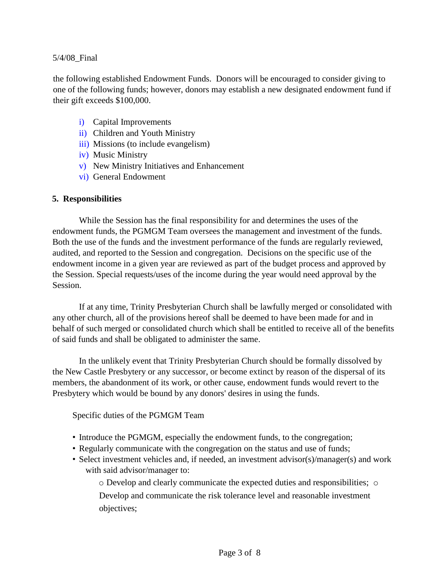the following established Endowment Funds. Donors will be encouraged to consider giving to one of the following funds; however, donors may establish a new designated endowment fund if their gift exceeds \$100,000.

- i) Capital Improvements
- ii) Children and Youth Ministry
- iii) Missions (to include evangelism)
- iv) Music Ministry
- v) New Ministry Initiatives and Enhancement
- vi) General Endowment

# **5. Responsibilities**

While the Session has the final responsibility for and determines the uses of the endowment funds, the PGMGM Team oversees the management and investment of the funds. Both the use of the funds and the investment performance of the funds are regularly reviewed, audited, and reported to the Session and congregation. Decisions on the specific use of the endowment income in a given year are reviewed as part of the budget process and approved by the Session. Special requests/uses of the income during the year would need approval by the Session.

If at any time, Trinity Presbyterian Church shall be lawfully merged or consolidated with any other church, all of the provisions hereof shall be deemed to have been made for and in behalf of such merged or consolidated church which shall be entitled to receive all of the benefits of said funds and shall be obligated to administer the same.

In the unlikely event that Trinity Presbyterian Church should be formally dissolved by the New Castle Presbytery or any successor, or become extinct by reason of the dispersal of its members, the abandonment of its work, or other cause, endowment funds would revert to the Presbytery which would be bound by any donors' desires in using the funds.

Specific duties of the PGMGM Team

- Introduce the PGMGM, especially the endowment funds, to the congregation;
- Regularly communicate with the congregation on the status and use of funds;
- Select investment vehicles and, if needed, an investment advisor(s)/manager(s) and work with said advisor/manager to:

o Develop and clearly communicate the expected duties and responsibilities; o Develop and communicate the risk tolerance level and reasonable investment objectives;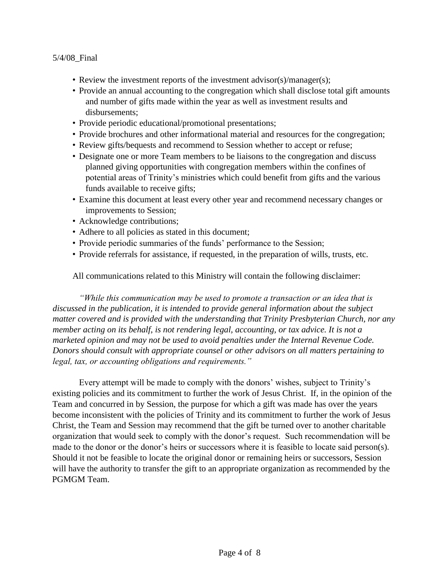- Review the investment reports of the investment advisor(s)/manager(s);
- Provide an annual accounting to the congregation which shall disclose total gift amounts and number of gifts made within the year as well as investment results and disbursements;
- Provide periodic educational/promotional presentations;
- Provide brochures and other informational material and resources for the congregation;
- Review gifts/bequests and recommend to Session whether to accept or refuse;
- Designate one or more Team members to be liaisons to the congregation and discuss planned giving opportunities with congregation members within the confines of potential areas of Trinity's ministries which could benefit from gifts and the various funds available to receive gifts;
- Examine this document at least every other year and recommend necessary changes or improvements to Session;
- Acknowledge contributions;
- Adhere to all policies as stated in this document;
- Provide periodic summaries of the funds' performance to the Session;
- Provide referrals for assistance, if requested, in the preparation of wills, trusts, etc.

All communications related to this Ministry will contain the following disclaimer:

*"While this communication may be used to promote a transaction or an idea that is discussed in the publication, it is intended to provide general information about the subject matter covered and is provided with the understanding that Trinity Presbyterian Church, nor any member acting on its behalf, is not rendering legal, accounting, or tax advice. It is not a marketed opinion and may not be used to avoid penalties under the Internal Revenue Code. Donors should consult with appropriate counsel or other advisors on all matters pertaining to legal, tax, or accounting obligations and requirements."* 

Every attempt will be made to comply with the donors' wishes, subject to Trinity's existing policies and its commitment to further the work of Jesus Christ. If, in the opinion of the Team and concurred in by Session, the purpose for which a gift was made has over the years become inconsistent with the policies of Trinity and its commitment to further the work of Jesus Christ, the Team and Session may recommend that the gift be turned over to another charitable organization that would seek to comply with the donor's request. Such recommendation will be made to the donor or the donor's heirs or successors where it is feasible to locate said person(s). Should it not be feasible to locate the original donor or remaining heirs or successors, Session will have the authority to transfer the gift to an appropriate organization as recommended by the PGMGM Team.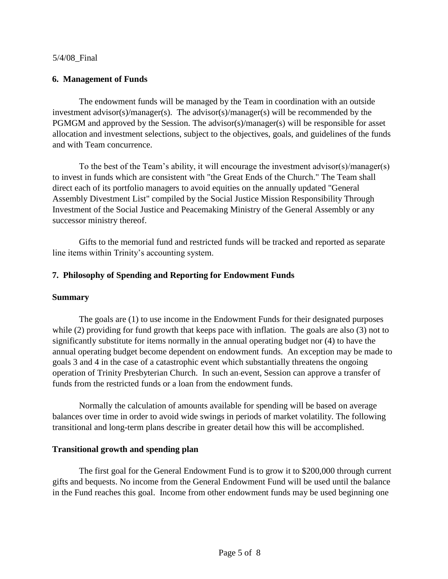## **6. Management of Funds**

The endowment funds will be managed by the Team in coordination with an outside investment advisor(s)/manager(s). The advisor(s)/manager(s) will be recommended by the PGMGM and approved by the Session. The advisor(s)/manager(s) will be responsible for asset allocation and investment selections, subject to the objectives, goals, and guidelines of the funds and with Team concurrence.

To the best of the Team's ability, it will encourage the investment advisor(s)/manager(s) to invest in funds which are consistent with "the Great Ends of the Church." The Team shall direct each of its portfolio managers to avoid equities on the annually updated "General Assembly Divestment List" compiled by the Social Justice Mission Responsibility Through Investment of the Social Justice and Peacemaking Ministry of the General Assembly or any successor ministry thereof.

Gifts to the memorial fund and restricted funds will be tracked and reported as separate line items within Trinity's accounting system.

## **7. Philosophy of Spending and Reporting for Endowment Funds**

## **Summary**

The goals are (1) to use income in the Endowment Funds for their designated purposes while (2) providing for fund growth that keeps pace with inflation. The goals are also (3) not to significantly substitute for items normally in the annual operating budget nor (4) to have the annual operating budget become dependent on endowment funds. An exception may be made to goals 3 and 4 in the case of a catastrophic event which substantially threatens the ongoing operation of Trinity Presbyterian Church. In such an event, Session can approve a transfer of funds from the restricted funds or a loan from the endowment funds.

Normally the calculation of amounts available for spending will be based on average balances over time in order to avoid wide swings in periods of market volatility. The following transitional and long-term plans describe in greater detail how this will be accomplished.

## **Transitional growth and spending plan**

The first goal for the General Endowment Fund is to grow it to \$200,000 through current gifts and bequests. No income from the General Endowment Fund will be used until the balance in the Fund reaches this goal. Income from other endowment funds may be used beginning one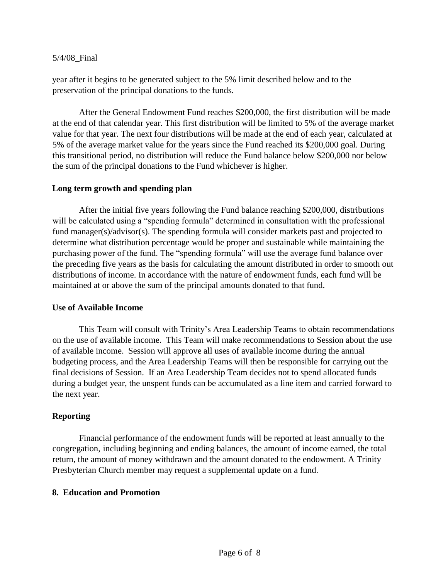year after it begins to be generated subject to the 5% limit described below and to the preservation of the principal donations to the funds.

After the General Endowment Fund reaches \$200,000, the first distribution will be made at the end of that calendar year. This first distribution will be limited to 5% of the average market value for that year. The next four distributions will be made at the end of each year, calculated at 5% of the average market value for the years since the Fund reached its \$200,000 goal. During this transitional period, no distribution will reduce the Fund balance below \$200,000 nor below the sum of the principal donations to the Fund whichever is higher.

## **Long term growth and spending plan**

After the initial five years following the Fund balance reaching \$200,000, distributions will be calculated using a "spending formula" determined in consultation with the professional fund manager(s)/advisor(s). The spending formula will consider markets past and projected to determine what distribution percentage would be proper and sustainable while maintaining the purchasing power of the fund. The "spending formula" will use the average fund balance over the preceding five years as the basis for calculating the amount distributed in order to smooth out distributions of income. In accordance with the nature of endowment funds, each fund will be maintained at or above the sum of the principal amounts donated to that fund.

#### **Use of Available Income**

This Team will consult with Trinity's Area Leadership Teams to obtain recommendations on the use of available income. This Team will make recommendations to Session about the use of available income. Session will approve all uses of available income during the annual budgeting process, and the Area Leadership Teams will then be responsible for carrying out the final decisions of Session. If an Area Leadership Team decides not to spend allocated funds during a budget year, the unspent funds can be accumulated as a line item and carried forward to the next year.

## **Reporting**

Financial performance of the endowment funds will be reported at least annually to the congregation, including beginning and ending balances, the amount of income earned, the total return, the amount of money withdrawn and the amount donated to the endowment. A Trinity Presbyterian Church member may request a supplemental update on a fund.

## **8. Education and Promotion**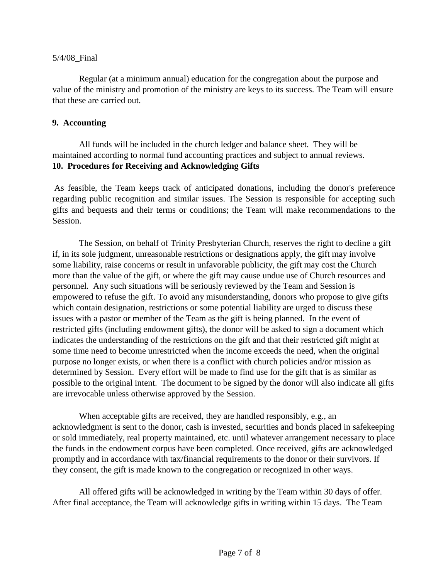Regular (at a minimum annual) education for the congregation about the purpose and value of the ministry and promotion of the ministry are keys to its success. The Team will ensure that these are carried out.

## **9. Accounting**

All funds will be included in the church ledger and balance sheet. They will be maintained according to normal fund accounting practices and subject to annual reviews. **10. Procedures for Receiving and Acknowledging Gifts** 

As feasible, the Team keeps track of anticipated donations, including the donor's preference regarding public recognition and similar issues. The Session is responsible for accepting such gifts and bequests and their terms or conditions; the Team will make recommendations to the Session.

The Session, on behalf of Trinity Presbyterian Church, reserves the right to decline a gift if, in its sole judgment, unreasonable restrictions or designations apply, the gift may involve some liability, raise concerns or result in unfavorable publicity, the gift may cost the Church more than the value of the gift, or where the gift may cause undue use of Church resources and personnel. Any such situations will be seriously reviewed by the Team and Session is empowered to refuse the gift. To avoid any misunderstanding, donors who propose to give gifts which contain designation, restrictions or some potential liability are urged to discuss these issues with a pastor or member of the Team as the gift is being planned. In the event of restricted gifts (including endowment gifts), the donor will be asked to sign a document which indicates the understanding of the restrictions on the gift and that their restricted gift might at some time need to become unrestricted when the income exceeds the need, when the original purpose no longer exists, or when there is a conflict with church policies and/or mission as determined by Session. Every effort will be made to find use for the gift that is as similar as possible to the original intent. The document to be signed by the donor will also indicate all gifts are irrevocable unless otherwise approved by the Session.

When acceptable gifts are received, they are handled responsibly, e.g., an acknowledgment is sent to the donor, cash is invested, securities and bonds placed in safekeeping or sold immediately, real property maintained, etc. until whatever arrangement necessary to place the funds in the endowment corpus have been completed. Once received, gifts are acknowledged promptly and in accordance with tax/financial requirements to the donor or their survivors. If they consent, the gift is made known to the congregation or recognized in other ways.

All offered gifts will be acknowledged in writing by the Team within 30 days of offer. After final acceptance, the Team will acknowledge gifts in writing within 15 days. The Team